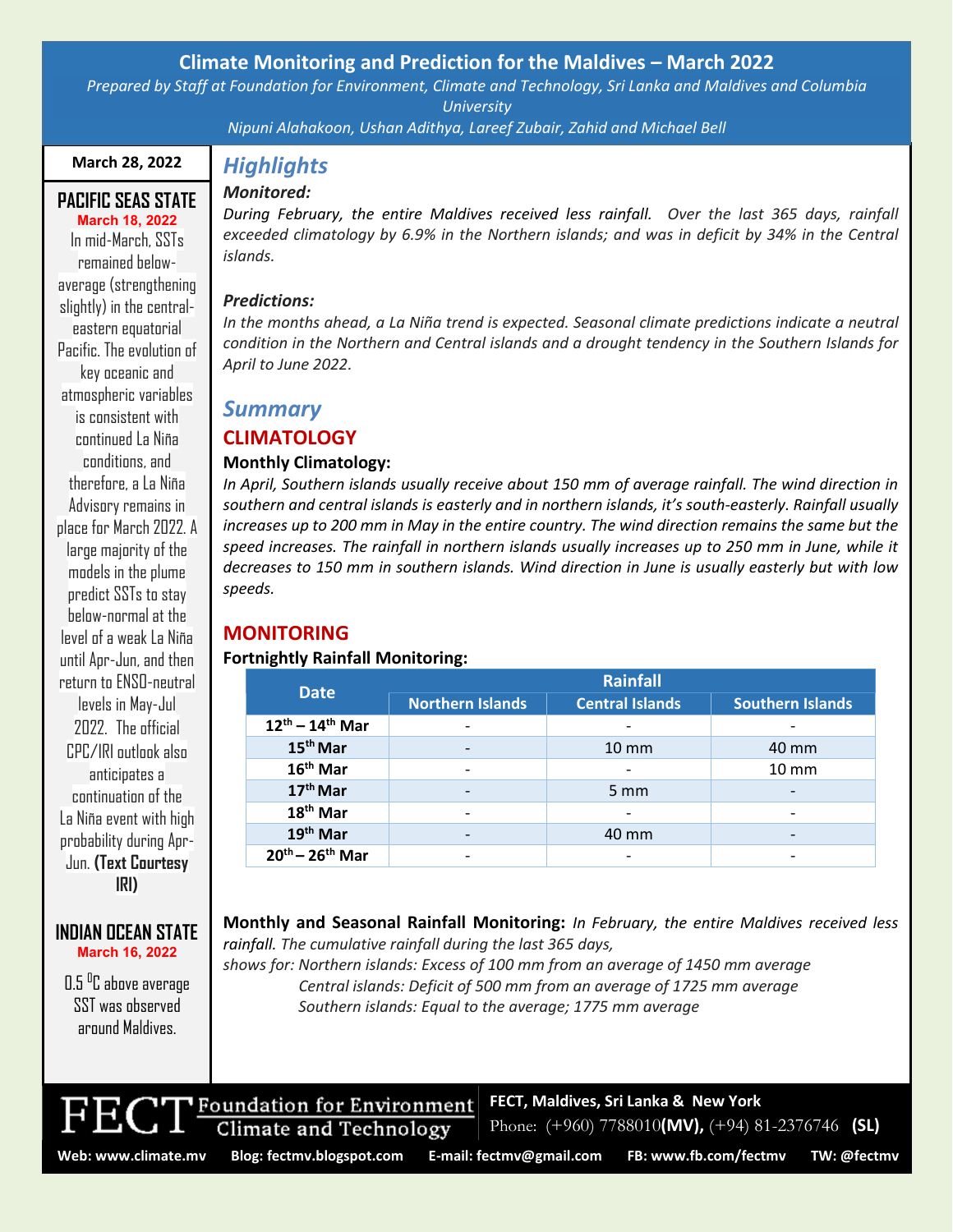## **Climate Monitoring and Prediction for the Maldives – March 2022**

*Prepared by Staff at Foundation for Environment, Climate and Technology, Sri Lanka and Maldives and Columbia University*

*Nipuni Alahakoon, Ushan Adithya, Lareef Zubair, Zahid and Michael Bell*

### **March 28, 2022**

## *Monitored:*

#### **PACIFIC SEAS STATE March 18, 2022**

In mid-March, SSTs remained belowaverage (strengthening slightly) in the centraleastern equatorial Pacific. The evolution of key oceanic and atmospheric variables is consistent with continued La Niña conditions, and therefore, a La Niña Advisory remains in place for March 2022. A large majority of the models in the plume predict SSTs to stay below-normal at the level of a weak La Niña until Apr-Jun, and then return to ENSO-neutral levels in May-Jul 2022. The official CPC/IRI outlook also anticipates a continuation of the La Niña event with high probability during Apr-Jun. **(Text Courtesy IRI)**

#### **INDIAN OCEAN STATE March 16, 2022**

 $0.5~^{\rm o}$ C above average SST was observed around Maldives.

# *Highlights*

*During February, the entire Maldives received less rainfall. Over the last 365 days, rainfall exceeded climatology by 6.9% in the Northern islands; and was in deficit by 34% in the Central islands.*

#### *Predictions:*

*In the months ahead, a La Niña trend is expected. Seasonal climate predictions indicate a neutral condition in the Northern and Central islands and a drought tendency in the Southern Islands for April to June 2022.*

## *Summary*

## **CLIMATOLOGY**

## **Monthly Climatology:**

*In April, Southern islands usually receive about 150 mm of average rainfall. The wind direction in southern and central islands is easterly and in northern islands, it's south-easterly. Rainfall usually increases up to 200 mm in May in the entire country. The wind direction remains the same but the speed increases. The rainfall in northern islands usually increases up to 250 mm in June, while it decreases to 150 mm in southern islands. Wind direction in June is usually easterly but with low speeds.*

## **MONITORING**

## **Fortnightly Rainfall Monitoring:**

| <b>Date</b>             | <b>Rainfall</b>          |                          |                   |
|-------------------------|--------------------------|--------------------------|-------------------|
|                         | <b>Northern Islands</b>  | <b>Central Islands</b>   | Southern Islands  |
| $12^{th} - 14^{th}$ Mar |                          | $\overline{\phantom{0}}$ |                   |
| 15 <sup>th</sup> Mar    |                          | $10 \, \text{mm}$        | 40 mm             |
| $16th$ Mar              |                          |                          | $10 \, \text{mm}$ |
| 17 <sup>th</sup> Mar    |                          | $5 \text{ mm}$           |                   |
| 18 <sup>th</sup> Mar    | $\overline{\phantom{0}}$ | $\overline{\phantom{0}}$ |                   |
| 19 <sup>th</sup> Mar    |                          | 40 mm                    |                   |
| $20^{th} - 26^{th}$ Mar |                          | $\overline{\phantom{0}}$ |                   |

**Monthly and Seasonal Rainfall Monitoring:** *In February, the entire Maldives received less rainfall. The cumulative rainfall during the last 365 days,*

*shows for: Northern islands: Excess of 100 mm from an average of 1450 mm average Central islands: Deficit of 500 mm from an average of 1725 mm average Southern islands: Equal to the average; 1775 mm average*



**Climate and Technology** 

Phone: (+960) 7788010**(MV),** (+94) 81-2376746 **(SL)**

**FECT, Maldives, Sri Lanka & New York**

**Web: www.climate.mv Blog[: fectmv.blogspot.com](mailto:fectmv.blogspot.com) E-mail: [fectmv@gmail.com](mailto:fectmv@gmail.com) FB[: www.fb.com/fectmv](http://www.fb.com/fectmv) TW: @fectmv**

Page